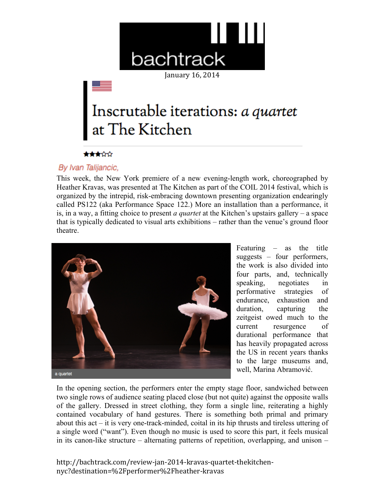

## Inscrutable iterations: a quartet at The Kitchen

## ★★★☆☆

## By Ivan Talijancic,

This week, the New York premiere of a new evening-length work, choreographed by Heather Kravas, was presented at The Kitchen as part of the COIL 2014 festival, which is organized by the intrepid, risk-embracing downtown presenting organization endearingly called PS122 (aka Performance Space 122.) More an installation than a performance, it is, in a way, a fitting choice to present *a quartet* at the Kitchen's upstairs gallery – a space that is typically dedicated to visual arts exhibitions – rather than the venue's ground floor theatre.



Featuring – as the title suggests – four performers, the work is also divided into four parts, and, technically speaking, negotiates in performative strategies of endurance, exhaustion and duration, capturing the zeitgeist owed much to the current resurgence of durational performance that has heavily propagated across the US in recent years thanks to the large museums and, well, Marina Abramović.

In the opening section, the performers enter the empty stage floor, sandwiched between two single rows of audience seating placed close (but not quite) against the opposite walls of the gallery. Dressed in street clothing, they form a single line, reiterating a highly contained vocabulary of hand gestures. There is something both primal and primary about this act – it is very one-track-minded, coital in its hip thrusts and tireless uttering of a single word ("want"). Even though no music is used to score this part, it feels musical in its canon-like structure – alternating patterns of repetition, overlapping, and unison –

http://bachtrack.com/review-jan-2014-kravas-quartet-thekitchennyc?destination=%2Fperformer%2Fheather-kravas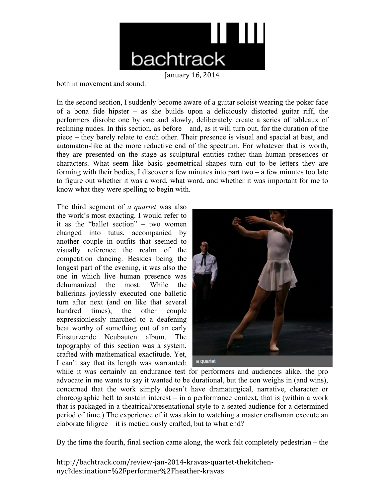

both in movement and sound.

In the second section, I suddenly become aware of a guitar soloist wearing the poker face of a bona fide hipster – as she builds upon a deliciously distorted guitar riff, the performers disrobe one by one and slowly, deliberately create a series of tableaux of reclining nudes. In this section, as before – and, as it will turn out, for the duration of the piece – they barely relate to each other. Their presence is visual and spacial at best, and automaton-like at the more reductive end of the spectrum. For whatever that is worth, they are presented on the stage as sculptural entities rather than human presences or characters. What seem like basic geometrical shapes turn out to be letters they are forming with their bodies, I discover a few minutes into part two – a few minutes too late to figure out whether it was a word, what word, and whether it was important for me to know what they were spelling to begin with.

The third segment of *a quartet* was also the work's most exacting. I would refer to it as the "ballet section" – two women changed into tutus, accompanied by another couple in outfits that seemed to visually reference the realm of the competition dancing. Besides being the longest part of the evening, it was also the one in which live human presence was dehumanized the most. While the ballerinas joylessly executed one balletic turn after next (and on like that several hundred times), the other couple expressionlessly marched to a deafening beat worthy of something out of an early Einsturzende Neubauten album. The topography of this section was a system, crafted with mathematical exactitude. Yet, I can't say that its length was warranted:



while it was certainly an endurance test for performers and audiences alike, the pro advocate in me wants to say it wanted to be durational, but the con weighs in (and wins), concerned that the work simply doesn't have dramaturgical, narrative, character or choreographic heft to sustain interest  $-$  in a performance context, that is (within a work that is packaged in a theatrical/presentational style to a seated audience for a determined period of time.) The experience of it was akin to watching a master craftsman execute an elaborate filigree – it is meticulously crafted, but to what end?

By the time the fourth, final section came along, the work felt completely pedestrian – the

http://bachtrack.com/review-jan-2014-kravas-quartet-thekitchennyc?destination=%2Fperformer%2Fheather-kravas